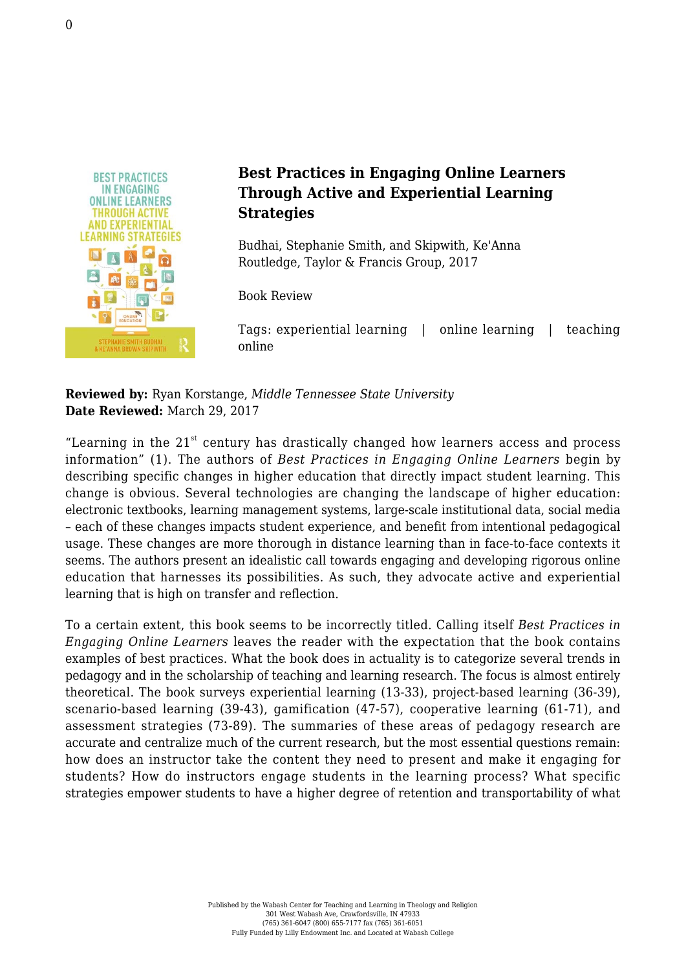

## **Best Practices in Engaging Online Learners Through Active and Experiential Learning Strategies**

Budhai, Stephanie Smith, and Skipwith, Ke'Anna [Routledge, Taylor & Francis Group, 2017](https://www.routledge.com/Best-Practices-in-Engaging-Online-Learners-Through-Active-and-Experiential/Budhai-Skipwith/p/book/9781138670686)

Book Review

Tags: experiential learning | online learning | teaching online

**Reviewed by:** Ryan Korstange, *Middle Tennessee State University* **Date Reviewed:** March 29, 2017

"Learning in the  $21<sup>st</sup>$  century has drastically changed how learners access and process information" (1). The authors of *Best Practices in Engaging Online Learners* begin by describing specific changes in higher education that directly impact student learning. This change is obvious. Several technologies are changing the landscape of higher education: electronic textbooks, learning management systems, large-scale institutional data, social media – each of these changes impacts student experience, and benefit from intentional pedagogical usage. These changes are more thorough in distance learning than in face-to-face contexts it seems. The authors present an idealistic call towards engaging and developing rigorous online education that harnesses its possibilities. As such, they advocate active and experiential learning that is high on transfer and reflection.

To a certain extent, this book seems to be incorrectly titled. Calling itself *Best Practices in Engaging Online Learners* leaves the reader with the expectation that the book contains examples of best practices. What the book does in actuality is to categorize several trends in pedagogy and in the scholarship of teaching and learning research. The focus is almost entirely theoretical. The book surveys experiential learning (13-33), project-based learning (36-39), scenario-based learning (39-43), gamification (47-57), cooperative learning (61-71), and assessment strategies (73-89). The summaries of these areas of pedagogy research are accurate and centralize much of the current research, but the most essential questions remain: how does an instructor take the content they need to present and make it engaging for students? How do instructors engage students in the learning process? What specific strategies empower students to have a higher degree of retention and transportability of what